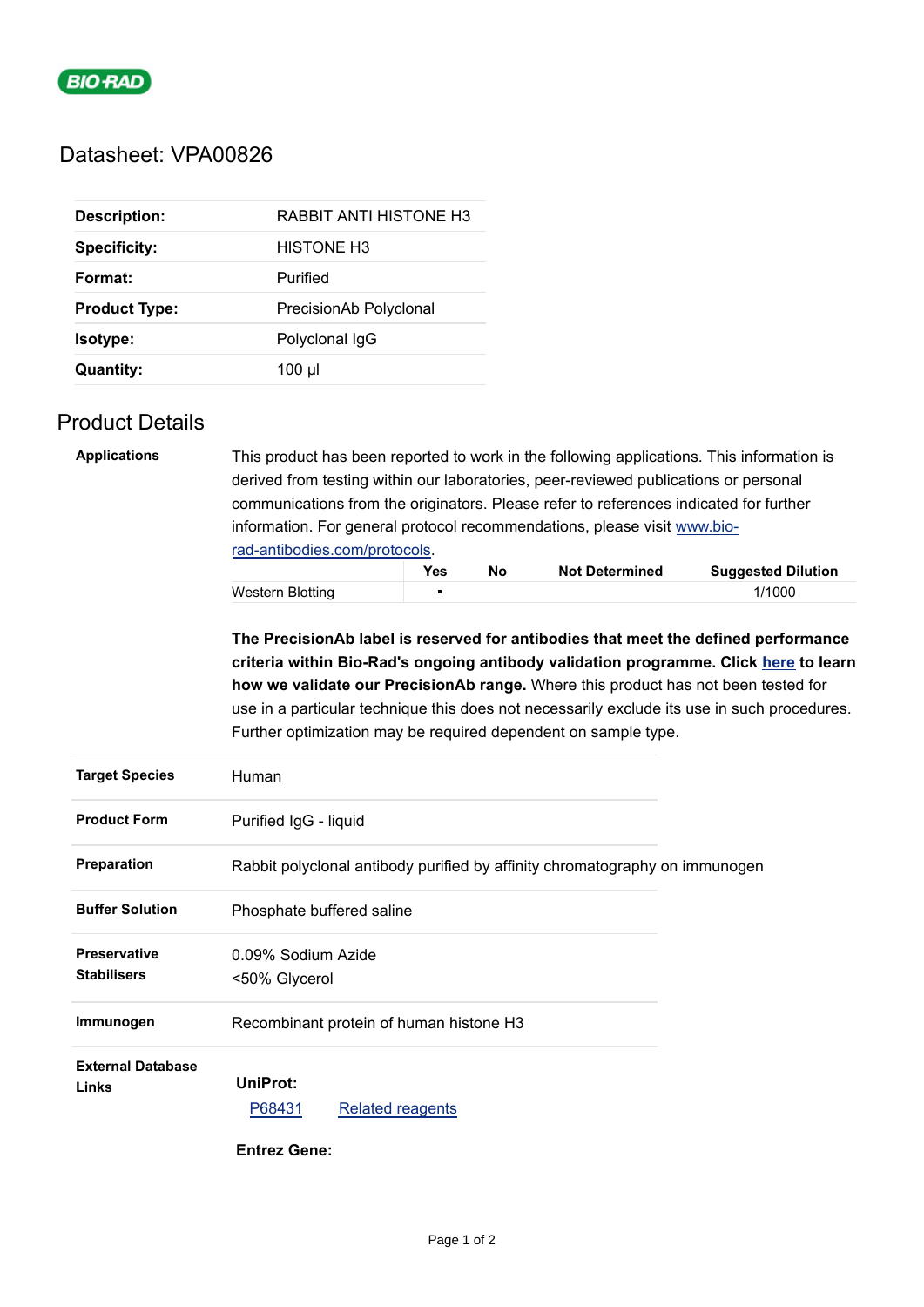

## Datasheet: VPA00826

| <b>Description:</b>  | RABBIT ANTI HISTONE H3 |
|----------------------|------------------------|
| <b>Specificity:</b>  | <b>HISTONE H3</b>      |
| Format:              | Purified               |
| <b>Product Type:</b> | PrecisionAb Polyclonal |
| Isotype:             | Polyclonal IgG         |
| <b>Quantity:</b>     | $100 \mu$              |

## Product Details

| <b>Applications</b> | This product has been reported to work in the following applications. This information is<br>derived from testing within our laboratories, peer-reviewed publications or personal<br>communications from the originators. Please refer to references indicated for further<br>information. For general protocol recommendations, please visit www.bio- |                |    |                       |                           |  |
|---------------------|--------------------------------------------------------------------------------------------------------------------------------------------------------------------------------------------------------------------------------------------------------------------------------------------------------------------------------------------------------|----------------|----|-----------------------|---------------------------|--|
|                     | rad-antibodies.com/protocols.                                                                                                                                                                                                                                                                                                                          |                |    |                       |                           |  |
|                     |                                                                                                                                                                                                                                                                                                                                                        | <b>Yes</b>     | No | <b>Not Determined</b> | <b>Suggested Dilution</b> |  |
|                     | Western Blotting                                                                                                                                                                                                                                                                                                                                       | $\blacksquare$ |    |                       | 1/1000                    |  |
|                     |                                                                                                                                                                                                                                                                                                                                                        |                |    |                       |                           |  |

**The PrecisionAb label is reserved for antibodies that meet the defined performance criteria within Bio-Rad's ongoing antibody validation programme. Click [here](https://www.bio-rad-antibodies.com/precisionAb-antibodies-enhanced-validation-for-western-blotting.html) to learn how we validate our PrecisionAb range.** Where this product has not been tested for use in a particular technique this does not necessarily exclude its use in such procedures. Further optimization may be required dependent on sample type.

| <b>Target Species</b>                     | Human                                                                       |  |
|-------------------------------------------|-----------------------------------------------------------------------------|--|
| <b>Product Form</b>                       | Purified IgG - liquid                                                       |  |
| <b>Preparation</b>                        | Rabbit polyclonal antibody purified by affinity chromatography on immunogen |  |
| <b>Buffer Solution</b>                    | Phosphate buffered saline                                                   |  |
| <b>Preservative</b><br><b>Stabilisers</b> | 0.09% Sodium Azide<br><50% Glycerol                                         |  |
| Immunogen                                 | Recombinant protein of human histone H3                                     |  |
| <b>External Database</b><br>Links         | UniProt:<br>P68431<br><b>Related reagents</b>                               |  |

 **Entrez Gene:**